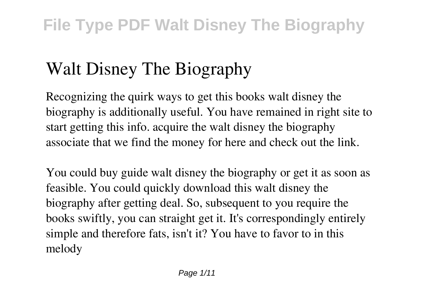# **Walt Disney The Biography**

Recognizing the quirk ways to get this books **walt disney the biography** is additionally useful. You have remained in right site to start getting this info. acquire the walt disney the biography associate that we find the money for here and check out the link.

You could buy guide walt disney the biography or get it as soon as feasible. You could quickly download this walt disney the biography after getting deal. So, subsequent to you require the books swiftly, you can straight get it. It's correspondingly entirely simple and therefore fats, isn't it? You have to favor to in this melody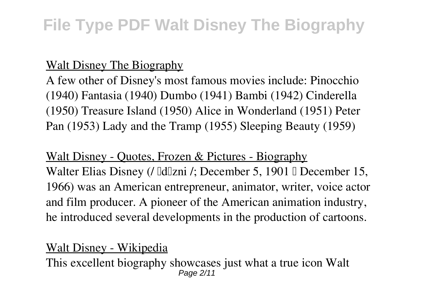### Walt Disney The Biography

A few other of Disney's most famous movies include: Pinocchio (1940) Fantasia (1940) Dumbo (1941) Bambi (1942) Cinderella (1950) Treasure Island (1950) Alice in Wonderland (1951) Peter Pan (1953) Lady and the Tramp (1955) Sleeping Beauty (1959)

### Walt Disney - Quotes, Frozen & Pictures - Biography Walter Elias Disney (/ [d][zni /; December 5, 1901 [] December 15, 1966) was an American entrepreneur, animator, writer, voice actor and film producer. A pioneer of the American animation industry, he introduced several developments in the production of cartoons.

### Walt Disney - Wikipedia

This excellent biography showcases just what a true icon Walt Page 2/11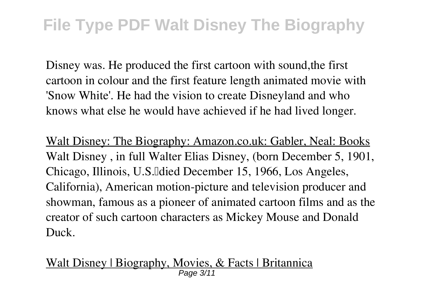Disney was. He produced the first cartoon with sound,the first cartoon in colour and the first feature length animated movie with 'Snow White'. He had the vision to create Disneyland and who knows what else he would have achieved if he had lived longer.

Walt Disney: The Biography: Amazon.co.uk: Gabler, Neal: Books Walt Disney , in full Walter Elias Disney, (born December 5, 1901, Chicago, Illinois, U.S. Idied December 15, 1966, Los Angeles, California), American motion-picture and television producer and showman, famous as a pioneer of animated cartoon films and as the creator of such cartoon characters as Mickey Mouse and Donald Duck.

Walt Disney | Biography, Movies, & Facts | Britannica Page 3/11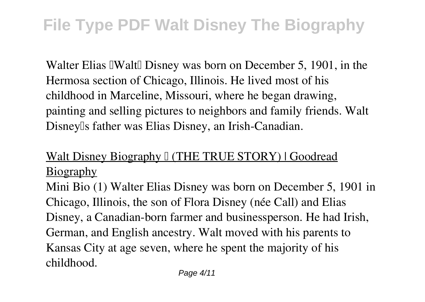Walter Elias IWalt Disney was born on December 5, 1901, in the Hermosa section of Chicago, Illinois. He lived most of his childhood in Marceline, Missouri, where he began drawing, painting and selling pictures to neighbors and family friends. Walt Disneylls father was Elias Disney, an Irish-Canadian.

## Walt Disney Biography I (THE TRUE STORY) | Goodread Biography

Mini Bio (1) Walter Elias Disney was born on December 5, 1901 in Chicago, Illinois, the son of Flora Disney (née Call) and Elias Disney, a Canadian-born farmer and businessperson. He had Irish, German, and English ancestry. Walt moved with his parents to Kansas City at age seven, where he spent the majority of his childhood.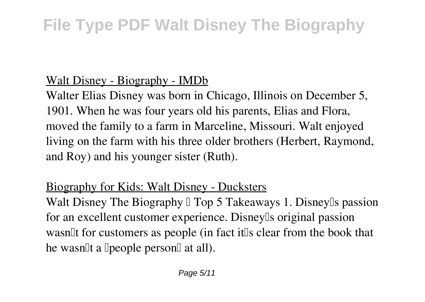### Walt Disney - Biography - IMDb

Walter Elias Disney was born in Chicago, Illinois on December 5, 1901. When he was four years old his parents, Elias and Flora, moved the family to a farm in Marceline, Missouri. Walt enjoyed living on the farm with his three older brothers (Herbert, Raymond, and Roy) and his younger sister (Ruth).

### Biography for Kids: Walt Disney - Ducksters

Walt Disney The Biography  $\mathbb I$  Top 5 Takeaways 1. Disney  $\mathbb I$  s passion for an excellent customer experience. Disney<sup>[]</sup>s original passion wasn<sup>th</sup> for customers as people (in fact it<sup>t</sup>s clear from the book that he wasn<sup>[1]</sup>t a <sup>[</sup>people person<sup>[1]</sup> at all].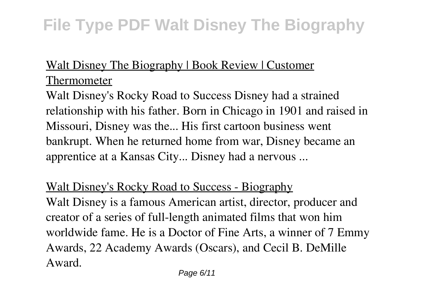### Walt Disney The Biography | Book Review | Customer Thermometer

Walt Disney's Rocky Road to Success Disney had a strained relationship with his father. Born in Chicago in 1901 and raised in Missouri, Disney was the... His first cartoon business went bankrupt. When he returned home from war, Disney became an apprentice at a Kansas City... Disney had a nervous ...

Walt Disney's Rocky Road to Success - Biography Walt Disney is a famous American artist, director, producer and creator of a series of full-length animated films that won him worldwide fame. He is a Doctor of Fine Arts, a winner of 7 Emmy Awards, 22 Academy Awards (Oscars), and Cecil B. DeMille Award.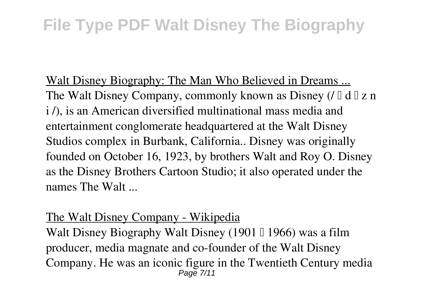Walt Disney Biography: The Man Who Believed in Dreams ... The Walt Disney Company, commonly known as Disney  $( \int \mathbb{d} \mathbb{d} \mathbb{d} x)$  n i /), is an American diversified multinational mass media and entertainment conglomerate headquartered at the Walt Disney Studios complex in Burbank, California.. Disney was originally founded on October 16, 1923, by brothers Walt and Roy O. Disney as the Disney Brothers Cartoon Studio; it also operated under the names The Walt ...

#### The Walt Disney Company - Wikipedia

Walt Disney Biography Walt Disney (1901  $\parallel$  1966) was a film producer, media magnate and co-founder of the Walt Disney Company. He was an iconic figure in the Twentieth Century media Page 7/11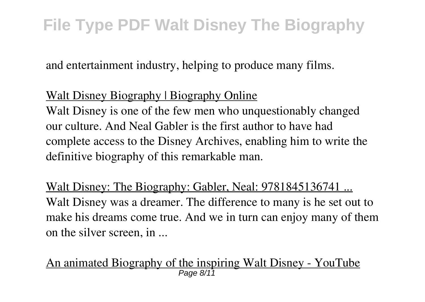and entertainment industry, helping to produce many films.

### Walt Disney Biography | Biography Online

Walt Disney is one of the few men who unquestionably changed our culture. And Neal Gabler is the first author to have had complete access to the Disney Archives, enabling him to write the definitive biography of this remarkable man.

Walt Disney: The Biography: Gabler, Neal: 9781845136741 ... Walt Disney was a dreamer. The difference to many is he set out to make his dreams come true. And we in turn can enjoy many of them on the silver screen, in ...

An animated Biography of the inspiring Walt Disney - YouTube Page 8/11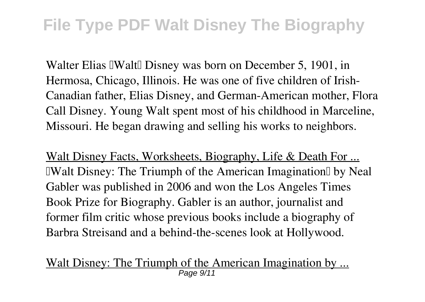Walter Elias IWalt Disney was born on December 5, 1901, in Hermosa, Chicago, Illinois. He was one of five children of Irish-Canadian father, Elias Disney, and German-American mother, Flora Call Disney. Young Walt spent most of his childhood in Marceline, Missouri. He began drawing and selling his works to neighbors.

Walt Disney Facts, Worksheets, Biography, Life & Death For ... IWalt Disney: The Triumph of the American Imagination I by Neal Gabler was published in 2006 and won the Los Angeles Times Book Prize for Biography. Gabler is an author, journalist and former film critic whose previous books include a biography of Barbra Streisand and a behind-the-scenes look at Hollywood.

Walt Disney: The Triumph of the American Imagination by ... Page 9/11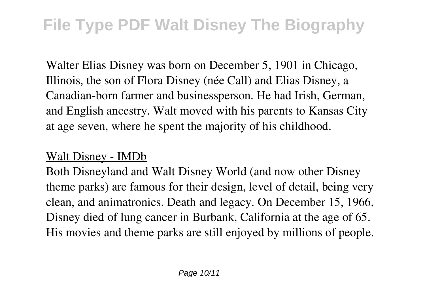Walter Elias Disney was born on December 5, 1901 in Chicago, Illinois, the son of Flora Disney (née Call) and Elias Disney, a Canadian-born farmer and businessperson. He had Irish, German, and English ancestry. Walt moved with his parents to Kansas City at age seven, where he spent the majority of his childhood.

### Walt Disney - IMDb

Both Disneyland and Walt Disney World (and now other Disney theme parks) are famous for their design, level of detail, being very clean, and animatronics. Death and legacy. On December 15, 1966, Disney died of lung cancer in Burbank, California at the age of 65. His movies and theme parks are still enjoyed by millions of people.